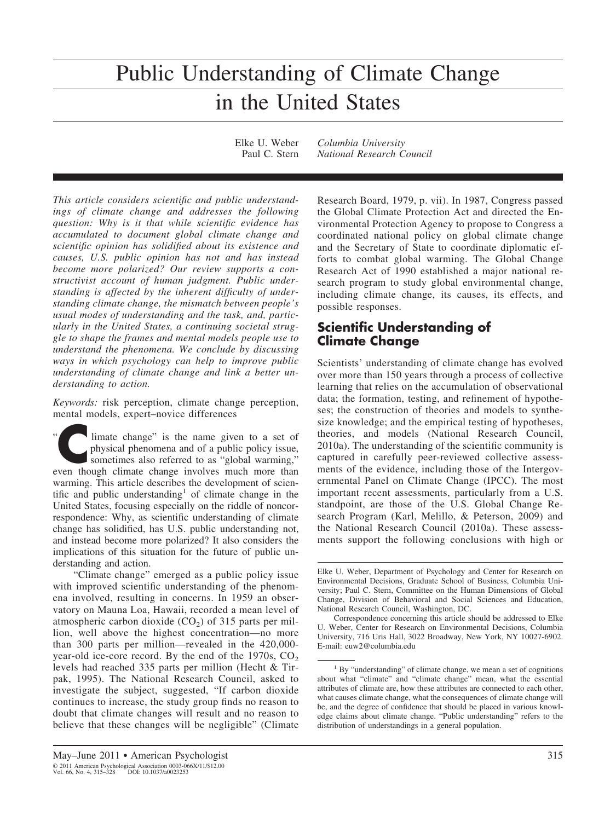# Public Understanding of Climate Change in the United States

Elke U. Weber *Columbia University* Paul C. Stern *National Research Council*

*This article considers scientific and public understandings of climate change and addresses the following question: Why is it that while scientific evidence has accumulated to document global climate change and scientific opinion has solidified about its existence and causes, U.S. public opinion has not and has instead become more polarized? Our review supports a constructivist account of human judgment. Public understanding is affected by the inherent difficulty of understanding climate change, the mismatch between people's usual modes of understanding and the task, and, particularly in the United States, a continuing societal struggle to shape the frames and mental models people use to understand the phenomena. We conclude by discussing ways in which psychology can help to improve public understanding of climate change and link a better understanding to action.*

*Keywords:* risk perception, climate change perception, mental models, expert–novice differences

" limate change" is the name given to a set of physical phenomena and of a public policy issue, sometimes also referred to as "global warming," even though climate change involves much more than warming. This article describes the development of scientific and public understanding<sup>1</sup> of climate change in the United States, focusing especially on the riddle of noncorrespondence: Why, as scientific understanding of climate change has solidified, has U.S. public understanding not, and instead become more polarized? It also considers the implications of this situation for the future of public understanding and action.

"Climate change" emerged as a public policy issue with improved scientific understanding of the phenomena involved, resulting in concerns. In 1959 an observatory on Mauna Loa, Hawaii, recorded a mean level of atmospheric carbon dioxide  $(CO<sub>2</sub>)$  of 315 parts per million, well above the highest concentration—no more than 300 parts per million—revealed in the 420,000 year-old ice-core record. By the end of the 1970s,  $CO<sub>2</sub>$ levels had reached 335 parts per million (Hecht & Tirpak, 1995). The National Research Council, asked to investigate the subject, suggested, "If carbon dioxide continues to increase, the study group finds no reason to doubt that climate changes will result and no reason to believe that these changes will be negligible" (Climate

Research Board, 1979, p. vii). In 1987, Congress passed the Global Climate Protection Act and directed the Environmental Protection Agency to propose to Congress a coordinated national policy on global climate change and the Secretary of State to coordinate diplomatic efforts to combat global warming. The Global Change Research Act of 1990 established a major national research program to study global environmental change, including climate change, its causes, its effects, and possible responses.

## **Scientific Understanding of Climate Change**

Scientists' understanding of climate change has evolved over more than 150 years through a process of collective learning that relies on the accumulation of observational data; the formation, testing, and refinement of hypotheses; the construction of theories and models to synthesize knowledge; and the empirical testing of hypotheses, theories, and models (National Research Council, 2010a). The understanding of the scientific community is captured in carefully peer-reviewed collective assessments of the evidence, including those of the Intergovernmental Panel on Climate Change (IPCC). The most important recent assessments, particularly from a U.S. standpoint, are those of the U.S. Global Change Research Program (Karl, Melillo, & Peterson, 2009) and the National Research Council (2010a). These assessments support the following conclusions with high or

Elke U. Weber, Department of Psychology and Center for Research on Environmental Decisions, Graduate School of Business, Columbia University; Paul C. Stern, Committee on the Human Dimensions of Global Change, Division of Behavioral and Social Sciences and Education, National Research Council, Washington, DC.

Correspondence concerning this article should be addressed to Elke U. Weber, Center for Research on Environmental Decisions, Columbia University, 716 Uris Hall, 3022 Broadway, New York, NY 10027-6902. E-mail: euw2@columbia.edu

<sup>&</sup>lt;sup>1</sup> By "understanding" of climate change, we mean a set of cognitions about what "climate" and "climate change" mean, what the essential attributes of climate are, how these attributes are connected to each other, what causes climate change, what the consequences of climate change will be, and the degree of confidence that should be placed in various knowledge claims about climate change. "Public understanding" refers to the distribution of understandings in a general population.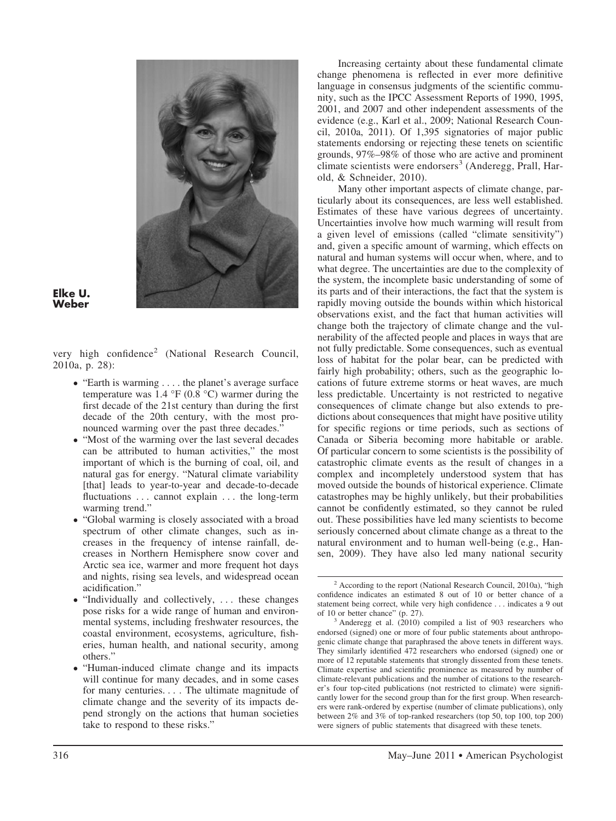

**Elke U. Weber**

very high confidence<sup>2</sup> (National Research Council, 2010a, p. 28):

- "Earth is warming . . . . the planet's average surface temperature was 1.4 °F (0.8 °C) warmer during the first decade of the 21st century than during the first decade of the 20th century, with the most pronounced warming over the past three decades."
- "Most of the warming over the last several decades" can be attributed to human activities," the most important of which is the burning of coal, oil, and natural gas for energy. "Natural climate variability [that] leads to year-to-year and decade-to-decade fluctuations . . . cannot explain . . . the long-term warming trend."
- "Global warming is closely associated with a broad spectrum of other climate changes, such as increases in the frequency of intense rainfall, decreases in Northern Hemisphere snow cover and Arctic sea ice, warmer and more frequent hot days and nights, rising sea levels, and widespread ocean acidification."
- "Individually and collectively, ... these changes pose risks for a wide range of human and environmental systems, including freshwater resources, the coastal environment, ecosystems, agriculture, fisheries, human health, and national security, among others."
- "Human-induced climate change and its impacts will continue for many decades, and in some cases for many centuries. . . . The ultimate magnitude of climate change and the severity of its impacts depend strongly on the actions that human societies take to respond to these risks."

Increasing certainty about these fundamental climate change phenomena is reflected in ever more definitive language in consensus judgments of the scientific community, such as the IPCC Assessment Reports of 1990, 1995, 2001, and 2007 and other independent assessments of the evidence (e.g., Karl et al., 2009; National Research Council, 2010a, 2011). Of 1,395 signatories of major public statements endorsing or rejecting these tenets on scientific grounds, 97%–98% of those who are active and prominent climate scientists were endorsers<sup>3</sup> (Anderegg, Prall, Harold, & Schneider, 2010).

Many other important aspects of climate change, particularly about its consequences, are less well established. Estimates of these have various degrees of uncertainty. Uncertainties involve how much warming will result from a given level of emissions (called "climate sensitivity") and, given a specific amount of warming, which effects on natural and human systems will occur when, where, and to what degree. The uncertainties are due to the complexity of the system, the incomplete basic understanding of some of its parts and of their interactions, the fact that the system is rapidly moving outside the bounds within which historical observations exist, and the fact that human activities will change both the trajectory of climate change and the vulnerability of the affected people and places in ways that are not fully predictable. Some consequences, such as eventual loss of habitat for the polar bear, can be predicted with fairly high probability; others, such as the geographic locations of future extreme storms or heat waves, are much less predictable. Uncertainty is not restricted to negative consequences of climate change but also extends to predictions about consequences that might have positive utility for specific regions or time periods, such as sections of Canada or Siberia becoming more habitable or arable. Of particular concern to some scientists is the possibility of catastrophic climate events as the result of changes in a complex and incompletely understood system that has moved outside the bounds of historical experience. Climate catastrophes may be highly unlikely, but their probabilities cannot be confidently estimated, so they cannot be ruled out. These possibilities have led many scientists to become seriously concerned about climate change as a threat to the natural environment and to human well-being (e.g., Hansen, 2009). They have also led many national security

<sup>2</sup> According to the report (National Research Council, 2010a), "high confidence indicates an estimated 8 out of 10 or better chance of a statement being correct, while very high confidence ... indicates a 9 out of 10 or better chance" (p. 27).

Anderegg et al. (2010) compiled a list of 903 researchers who endorsed (signed) one or more of four public statements about anthropogenic climate change that paraphrased the above tenets in different ways. They similarly identified 472 researchers who endorsed (signed) one or more of 12 reputable statements that strongly dissented from these tenets. Climate expertise and scientific prominence as measured by number of climate-relevant publications and the number of citations to the researcher's four top-cited publications (not restricted to climate) were significantly lower for the second group than for the first group. When researchers were rank-ordered by expertise (number of climate publications), only between 2% and 3% of top-ranked researchers (top 50, top 100, top 200) were signers of public statements that disagreed with these tenets.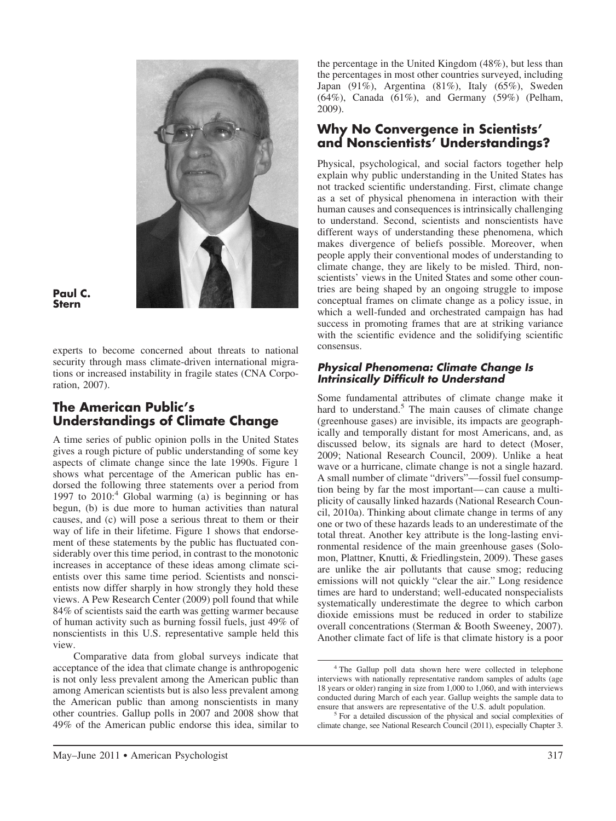

**Paul C. Stern**

experts to become concerned about threats to national security through mass climate-driven international migrations or increased instability in fragile states (CNA Corporation, 2007).

## **The American Public's Understandings of Climate Change**

A time series of public opinion polls in the United States gives a rough picture of public understanding of some key aspects of climate change since the late 1990s. Figure 1 shows what percentage of the American public has endorsed the following three statements over a period from 1997 to  $2010$ <sup>4</sup> Global warming (a) is beginning or has begun, (b) is due more to human activities than natural causes, and (c) will pose a serious threat to them or their way of life in their lifetime. Figure 1 shows that endorsement of these statements by the public has fluctuated considerably over this time period, in contrast to the monotonic increases in acceptance of these ideas among climate scientists over this same time period. Scientists and nonscientists now differ sharply in how strongly they hold these views. A Pew Research Center (2009) poll found that while 84% of scientists said the earth was getting warmer because of human activity such as burning fossil fuels, just 49% of nonscientists in this U.S. representative sample held this view.

Comparative data from global surveys indicate that acceptance of the idea that climate change is anthropogenic is not only less prevalent among the American public than among American scientists but is also less prevalent among the American public than among nonscientists in many other countries. Gallup polls in 2007 and 2008 show that 49% of the American public endorse this idea, similar to

the percentage in the United Kingdom (48%), but less than the percentages in most other countries surveyed, including Japan (91%), Argentina (81%), Italy (65%), Sweden (64%), Canada (61%), and Germany (59%) (Pelham, 2009).

## **Why No Convergence in Scientists' and Nonscientists' Understandings?**

Physical, psychological, and social factors together help explain why public understanding in the United States has not tracked scientific understanding. First, climate change as a set of physical phenomena in interaction with their human causes and consequences is intrinsically challenging to understand. Second, scientists and nonscientists have different ways of understanding these phenomena, which makes divergence of beliefs possible. Moreover, when people apply their conventional modes of understanding to climate change, they are likely to be misled. Third, nonscientists' views in the United States and some other countries are being shaped by an ongoing struggle to impose conceptual frames on climate change as a policy issue, in which a well-funded and orchestrated campaign has had success in promoting frames that are at striking variance with the scientific evidence and the solidifying scientific consensus.

#### *Physical Phenomena: Climate Change Is Intrinsically Difficult to Understand*

Some fundamental attributes of climate change make it hard to understand. $5$  The main causes of climate change (greenhouse gases) are invisible, its impacts are geographically and temporally distant for most Americans, and, as discussed below, its signals are hard to detect (Moser, 2009; National Research Council, 2009). Unlike a heat wave or a hurricane, climate change is not a single hazard. A small number of climate "drivers"—fossil fuel consumption being by far the most important—can cause a multiplicity of causally linked hazards (National Research Council, 2010a). Thinking about climate change in terms of any one or two of these hazards leads to an underestimate of the total threat. Another key attribute is the long-lasting environmental residence of the main greenhouse gases (Solomon, Plattner, Knutti, & Friedlingstein, 2009). These gases are unlike the air pollutants that cause smog; reducing emissions will not quickly "clear the air." Long residence times are hard to understand; well-educated nonspecialists systematically underestimate the degree to which carbon dioxide emissions must be reduced in order to stabilize overall concentrations (Sterman & Booth Sweeney, 2007). Another climate fact of life is that climate history is a poor

<sup>4</sup> The Gallup poll data shown here were collected in telephone interviews with nationally representative random samples of adults (age 18 years or older) ranging in size from 1,000 to 1,060, and with interviews conducted during March of each year. Gallup weights the sample data to ensure that answers are representative of the U.S. adult population.

For a detailed discussion of the physical and social complexities of climate change, see National Research Council (2011), especially Chapter 3.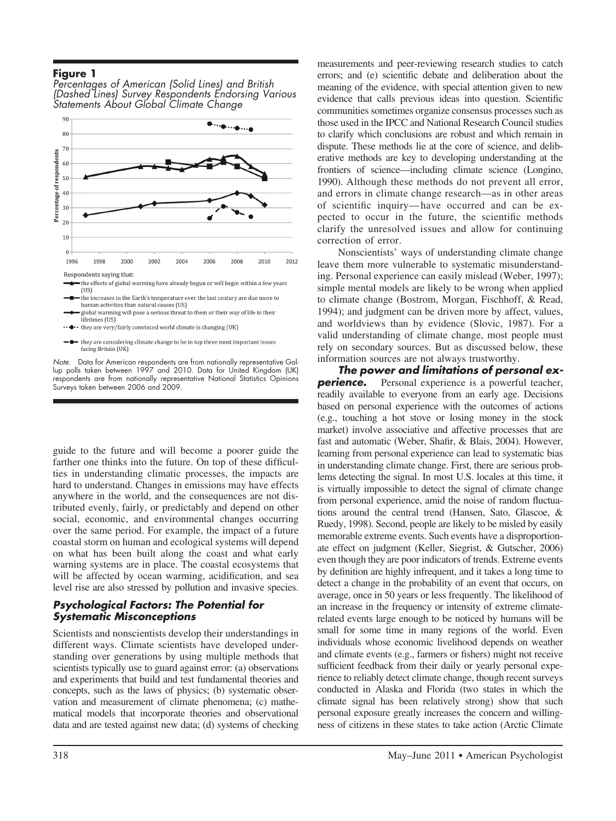#### **Figure 1**

*Percentages of American (Solid Lines) and British (Dashed Lines) Survey Respondents Endorsing Various Statements About Global Climate Change*



they are considering climate change to be in top three most important issues facing Britain (UK)

guide to the future and will become a poorer guide the farther one thinks into the future. On top of these difficulties in understanding climatic processes, the impacts are hard to understand. Changes in emissions may have effects anywhere in the world, and the consequences are not distributed evenly, fairly, or predictably and depend on other social, economic, and environmental changes occurring over the same period. For example, the impact of a future coastal storm on human and ecological systems will depend on what has been built along the coast and what early warning systems are in place. The coastal ecosystems that will be affected by ocean warming, acidification, and sea level rise are also stressed by pollution and invasive species.

#### *Psychological Factors: The Potential for Systematic Misconceptions*

Scientists and nonscientists develop their understandings in different ways. Climate scientists have developed understanding over generations by using multiple methods that scientists typically use to guard against error: (a) observations and experiments that build and test fundamental theories and concepts, such as the laws of physics; (b) systematic observation and measurement of climate phenomena; (c) mathematical models that incorporate theories and observational data and are tested against new data; (d) systems of checking

measurements and peer-reviewing research studies to catch errors; and (e) scientific debate and deliberation about the meaning of the evidence, with special attention given to new evidence that calls previous ideas into question. Scientific communities sometimes organize consensus processes such as those used in the IPCC and National Research Council studies to clarify which conclusions are robust and which remain in dispute. These methods lie at the core of science, and deliberative methods are key to developing understanding at the frontiers of science—including climate science (Longino, 1990). Although these methods do not prevent all error, and errors in climate change research—as in other areas of scientific inquiry—have occurred and can be expected to occur in the future, the scientific methods clarify the unresolved issues and allow for continuing correction of error.

Nonscientists' ways of understanding climate change leave them more vulnerable to systematic misunderstanding. Personal experience can easily mislead (Weber, 1997); simple mental models are likely to be wrong when applied to climate change (Bostrom, Morgan, Fischhoff, & Read, 1994); and judgment can be driven more by affect, values, and worldviews than by evidence (Slovic, 1987). For a valid understanding of climate change, most people must rely on secondary sources. But as discussed below, these information sources are not always trustworthy.

*The power and limitations of personal ex***perience.** Personal experience is a powerful teacher, readily available to everyone from an early age. Decisions based on personal experience with the outcomes of actions (e.g., touching a hot stove or losing money in the stock market) involve associative and affective processes that are fast and automatic (Weber, Shafir, & Blais, 2004). However, learning from personal experience can lead to systematic bias in understanding climate change. First, there are serious problems detecting the signal. In most U.S. locales at this time, it is virtually impossible to detect the signal of climate change from personal experience, amid the noise of random fluctuations around the central trend (Hansen, Sato, Glascoe, & Ruedy, 1998). Second, people are likely to be misled by easily memorable extreme events. Such events have a disproportionate effect on judgment (Keller, Siegrist, & Gutscher, 2006) even though they are poor indicators of trends. Extreme events by definition are highly infrequent, and it takes a long time to detect a change in the probability of an event that occurs, on average, once in 50 years or less frequently. The likelihood of an increase in the frequency or intensity of extreme climaterelated events large enough to be noticed by humans will be small for some time in many regions of the world. Even individuals whose economic livelihood depends on weather and climate events (e.g., farmers or fishers) might not receive sufficient feedback from their daily or yearly personal experience to reliably detect climate change, though recent surveys conducted in Alaska and Florida (two states in which the climate signal has been relatively strong) show that such personal exposure greatly increases the concern and willingness of citizens in these states to take action (Arctic Climate

*Note.* Data for American respondents are from nationally representative Gallup polls taken between 1997 and 2010. Data for United Kingdom (UK) respondents are from nationally representative National Statistics Opinions Surveys taken between 2006 and 2009.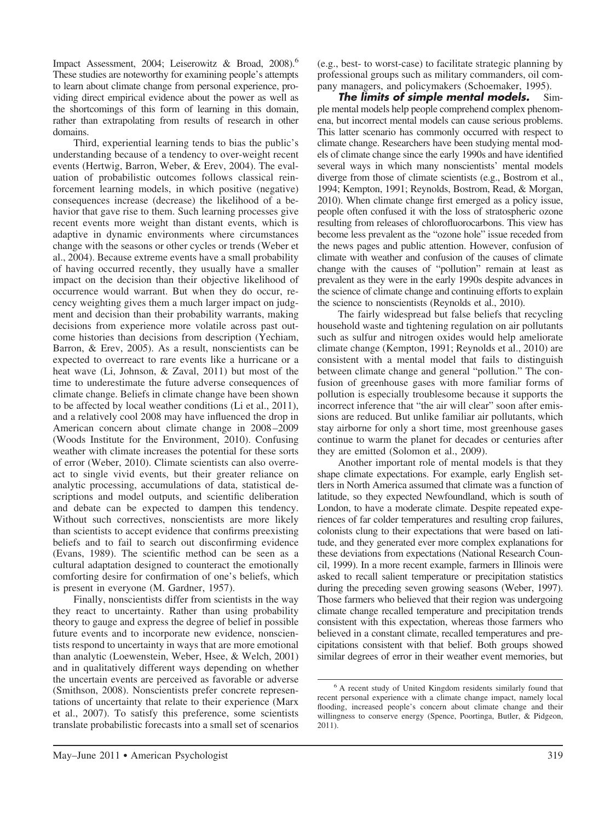Impact Assessment, 2004; Leiserowitz & Broad, 2008).<sup>6</sup> These studies are noteworthy for examining people's attempts to learn about climate change from personal experience, providing direct empirical evidence about the power as well as the shortcomings of this form of learning in this domain, rather than extrapolating from results of research in other domains.

Third, experiential learning tends to bias the public's understanding because of a tendency to over-weight recent events (Hertwig, Barron, Weber, & Erev, 2004). The evaluation of probabilistic outcomes follows classical reinforcement learning models, in which positive (negative) consequences increase (decrease) the likelihood of a behavior that gave rise to them. Such learning processes give recent events more weight than distant events, which is adaptive in dynamic environments where circumstances change with the seasons or other cycles or trends (Weber et al., 2004). Because extreme events have a small probability of having occurred recently, they usually have a smaller impact on the decision than their objective likelihood of occurrence would warrant. But when they do occur, recency weighting gives them a much larger impact on judgment and decision than their probability warrants, making decisions from experience more volatile across past outcome histories than decisions from description (Yechiam, Barron, & Erev, 2005). As a result, nonscientists can be expected to overreact to rare events like a hurricane or a heat wave (Li, Johnson, & Zaval, 2011) but most of the time to underestimate the future adverse consequences of climate change. Beliefs in climate change have been shown to be affected by local weather conditions (Li et al., 2011), and a relatively cool 2008 may have influenced the drop in American concern about climate change in 2008–2009 (Woods Institute for the Environment, 2010). Confusing weather with climate increases the potential for these sorts of error (Weber, 2010). Climate scientists can also overreact to single vivid events, but their greater reliance on analytic processing, accumulations of data, statistical descriptions and model outputs, and scientific deliberation and debate can be expected to dampen this tendency. Without such correctives, nonscientists are more likely than scientists to accept evidence that confirms preexisting beliefs and to fail to search out disconfirming evidence (Evans, 1989). The scientific method can be seen as a cultural adaptation designed to counteract the emotionally comforting desire for confirmation of one's beliefs, which is present in everyone (M. Gardner, 1957).

Finally, nonscientists differ from scientists in the way they react to uncertainty. Rather than using probability theory to gauge and express the degree of belief in possible future events and to incorporate new evidence, nonscientists respond to uncertainty in ways that are more emotional than analytic (Loewenstein, Weber, Hsee, & Welch, 2001) and in qualitatively different ways depending on whether the uncertain events are perceived as favorable or adverse (Smithson, 2008). Nonscientists prefer concrete representations of uncertainty that relate to their experience (Marx et al., 2007). To satisfy this preference, some scientists translate probabilistic forecasts into a small set of scenarios

(e.g., best- to worst-case) to facilitate strategic planning by professional groups such as military commanders, oil company managers, and policymakers (Schoemaker, 1995).

*The limits of simple mental models.* Simple mental models help people comprehend complex phenomena, but incorrect mental models can cause serious problems. This latter scenario has commonly occurred with respect to climate change. Researchers have been studying mental models of climate change since the early 1990s and have identified several ways in which many nonscientists' mental models diverge from those of climate scientists (e.g., Bostrom et al., 1994; Kempton, 1991; Reynolds, Bostrom, Read, & Morgan, 2010). When climate change first emerged as a policy issue, people often confused it with the loss of stratospheric ozone resulting from releases of chlorofluorocarbons. This view has become less prevalent as the "ozone hole" issue receded from the news pages and public attention. However, confusion of climate with weather and confusion of the causes of climate change with the causes of "pollution" remain at least as prevalent as they were in the early 1990s despite advances in the science of climate change and continuing efforts to explain the science to nonscientists (Reynolds et al., 2010).

The fairly widespread but false beliefs that recycling household waste and tightening regulation on air pollutants such as sulfur and nitrogen oxides would help ameliorate climate change (Kempton, 1991; Reynolds et al., 2010) are consistent with a mental model that fails to distinguish between climate change and general "pollution." The confusion of greenhouse gases with more familiar forms of pollution is especially troublesome because it supports the incorrect inference that "the air will clear" soon after emissions are reduced. But unlike familiar air pollutants, which stay airborne for only a short time, most greenhouse gases continue to warm the planet for decades or centuries after they are emitted (Solomon et al., 2009).

Another important role of mental models is that they shape climate expectations. For example, early English settlers in North America assumed that climate was a function of latitude, so they expected Newfoundland, which is south of London, to have a moderate climate. Despite repeated experiences of far colder temperatures and resulting crop failures, colonists clung to their expectations that were based on latitude, and they generated ever more complex explanations for these deviations from expectations (National Research Council, 1999). In a more recent example, farmers in Illinois were asked to recall salient temperature or precipitation statistics during the preceding seven growing seasons (Weber, 1997). Those farmers who believed that their region was undergoing climate change recalled temperature and precipitation trends consistent with this expectation, whereas those farmers who believed in a constant climate, recalled temperatures and precipitations consistent with that belief. Both groups showed similar degrees of error in their weather event memories, but

<sup>6</sup> A recent study of United Kingdom residents similarly found that recent personal experience with a climate change impact, namely local flooding, increased people's concern about climate change and their willingness to conserve energy (Spence, Poortinga, Butler, & Pidgeon, 2011).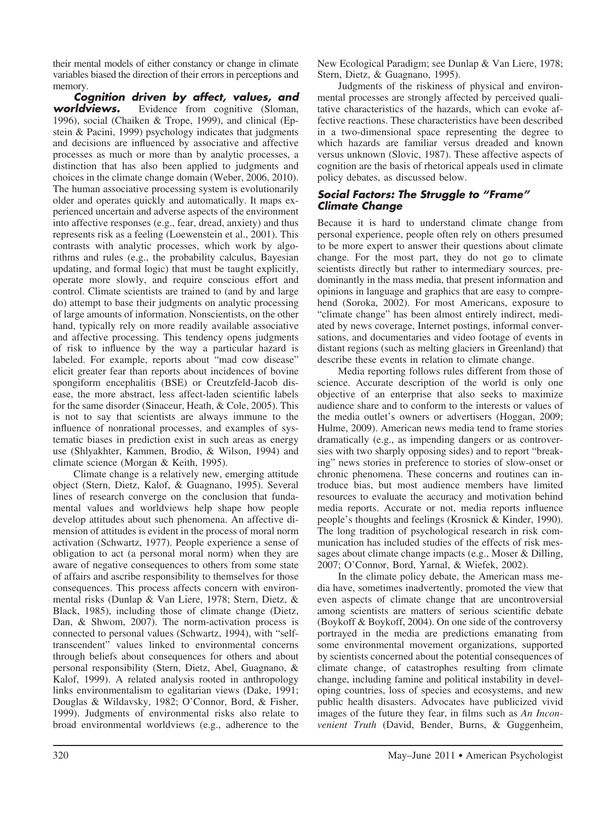their mental models of either constancy or change in climate variables biased the direction of their errors in perceptions and memory.

*Cognition driven by affect, values, and worldviews.* Evidence from cognitive (Sloman, 1996), social (Chaiken & Trope, 1999), and clinical (Epstein & Pacini, 1999) psychology indicates that judgments and decisions are influenced by associative and affective processes as much or more than by analytic processes, a distinction that has also been applied to judgments and choices in the climate change domain (Weber, 2006, 2010). The human associative processing system is evolutionarily older and operates quickly and automatically. It maps experienced uncertain and adverse aspects of the environment into affective responses (e.g., fear, dread, anxiety) and thus represents risk as a feeling (Loewenstein et al., 2001). This contrasts with analytic processes, which work by algorithms and rules (e.g., the probability calculus, Bayesian updating, and formal logic) that must be taught explicitly, operate more slowly, and require conscious effort and control. Climate scientists are trained to (and by and large do) attempt to base their judgments on analytic processing of large amounts of information. Nonscientists, on the other hand, typically rely on more readily available associative and affective processing. This tendency opens judgments of risk to influence by the way a particular hazard is labeled. For example, reports about "mad cow disease" elicit greater fear than reports about incidences of bovine spongiform encephalitis (BSE) or Creutzfeld-Jacob disease, the more abstract, less affect-laden scientific labels for the same disorder (Sinaceur, Heath, & Cole, 2005). This is not to say that scientists are always immune to the influence of nonrational processes, and examples of systematic biases in prediction exist in such areas as energy use (Shlyakhter, Kammen, Brodio, & Wilson, 1994) and climate science (Morgan & Keith, 1995).

Climate change is a relatively new, emerging attitude object (Stern, Dietz, Kalof, & Guagnano, 1995). Several lines of research converge on the conclusion that fundamental values and worldviews help shape how people develop attitudes about such phenomena. An affective dimension of attitudes is evident in the process of moral norm activation (Schwartz, 1977). People experience a sense of obligation to act (a personal moral norm) when they are aware of negative consequences to others from some state of affairs and ascribe responsibility to themselves for those consequences. This process affects concern with environmental risks (Dunlap & Van Liere, 1978; Stern, Dietz, & Black, 1985), including those of climate change (Dietz, Dan, & Shwom, 2007). The norm-activation process is connected to personal values (Schwartz, 1994), with "selftranscendent" values linked to environmental concerns through beliefs about consequences for others and about personal responsibility (Stern, Dietz, Abel, Guagnano, & Kalof, 1999). A related analysis rooted in anthropology links environmentalism to egalitarian views (Dake, 1991; Douglas & Wildavsky, 1982; O'Connor, Bord, & Fisher, 1999). Judgments of environmental risks also relate to broad environmental worldviews (e.g., adherence to the

New Ecological Paradigm; see Dunlap & Van Liere, 1978; Stern, Dietz, & Guagnano, 1995).

Judgments of the riskiness of physical and environmental processes are strongly affected by perceived qualitative characteristics of the hazards, which can evoke affective reactions. These characteristics have been described in a two-dimensional space representing the degree to which hazards are familiar versus dreaded and known versus unknown (Slovic, 1987). These affective aspects of cognition are the basis of rhetorical appeals used in climate policy debates, as discussed below.

#### *Social Factors: The Struggle to "Frame" Climate Change*

Because it is hard to understand climate change from personal experience, people often rely on others presumed to be more expert to answer their questions about climate change. For the most part, they do not go to climate scientists directly but rather to intermediary sources, predominantly in the mass media, that present information and opinions in language and graphics that are easy to comprehend (Soroka, 2002). For most Americans, exposure to "climate change" has been almost entirely indirect, mediated by news coverage, Internet postings, informal conversations, and documentaries and video footage of events in distant regions (such as melting glaciers in Greenland) that describe these events in relation to climate change.

Media reporting follows rules different from those of science. Accurate description of the world is only one objective of an enterprise that also seeks to maximize audience share and to conform to the interests or values of the media outlet's owners or advertisers (Hoggan, 2009; Hulme, 2009). American news media tend to frame stories dramatically (e.g., as impending dangers or as controversies with two sharply opposing sides) and to report "breaking" news stories in preference to stories of slow-onset or chronic phenomena. These concerns and routines can introduce bias, but most audience members have limited resources to evaluate the accuracy and motivation behind media reports. Accurate or not, media reports influence people's thoughts and feelings (Krosnick & Kinder, 1990). The long tradition of psychological research in risk communication has included studies of the effects of risk messages about climate change impacts (e.g., Moser & Dilling, 2007; O'Connor, Bord, Yarnal, & Wiefek, 2002).

In the climate policy debate, the American mass media have, sometimes inadvertently, promoted the view that even aspects of climate change that are uncontroversial among scientists are matters of serious scientific debate (Boykoff & Boykoff, 2004). On one side of the controversy portrayed in the media are predictions emanating from some environmental movement organizations, supported by scientists concerned about the potential consequences of climate change, of catastrophes resulting from climate change, including famine and political instability in developing countries, loss of species and ecosystems, and new public health disasters. Advocates have publicized vivid images of the future they fear, in films such as *An Inconvenient Truth* (David, Bender, Burns, & Guggenheim,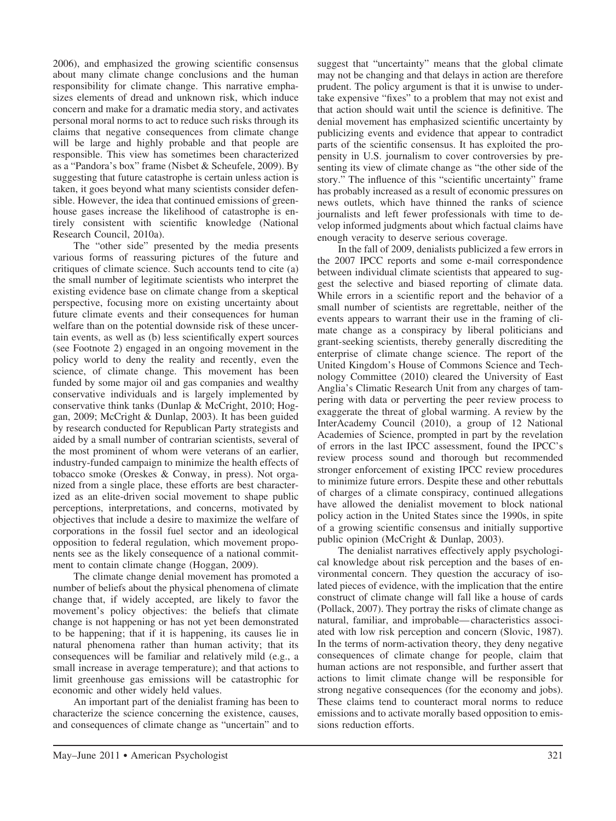2006), and emphasized the growing scientific consensus about many climate change conclusions and the human responsibility for climate change. This narrative emphasizes elements of dread and unknown risk, which induce concern and make for a dramatic media story, and activates personal moral norms to act to reduce such risks through its claims that negative consequences from climate change will be large and highly probable and that people are responsible. This view has sometimes been characterized as a "Pandora's box" frame (Nisbet & Scheufele, 2009). By suggesting that future catastrophe is certain unless action is taken, it goes beyond what many scientists consider defensible. However, the idea that continued emissions of greenhouse gases increase the likelihood of catastrophe is entirely consistent with scientific knowledge (National Research Council, 2010a).

The "other side" presented by the media presents various forms of reassuring pictures of the future and critiques of climate science. Such accounts tend to cite (a) the small number of legitimate scientists who interpret the existing evidence base on climate change from a skeptical perspective, focusing more on existing uncertainty about future climate events and their consequences for human welfare than on the potential downside risk of these uncertain events, as well as (b) less scientifically expert sources (see Footnote 2) engaged in an ongoing movement in the policy world to deny the reality and recently, even the science, of climate change. This movement has been funded by some major oil and gas companies and wealthy conservative individuals and is largely implemented by conservative think tanks (Dunlap & McCright, 2010; Hoggan, 2009; McCright & Dunlap, 2003). It has been guided by research conducted for Republican Party strategists and aided by a small number of contrarian scientists, several of the most prominent of whom were veterans of an earlier, industry-funded campaign to minimize the health effects of tobacco smoke (Oreskes & Conway, in press). Not organized from a single place, these efforts are best characterized as an elite-driven social movement to shape public perceptions, interpretations, and concerns, motivated by objectives that include a desire to maximize the welfare of corporations in the fossil fuel sector and an ideological opposition to federal regulation, which movement proponents see as the likely consequence of a national commitment to contain climate change (Hoggan, 2009).

The climate change denial movement has promoted a number of beliefs about the physical phenomena of climate change that, if widely accepted, are likely to favor the movement's policy objectives: the beliefs that climate change is not happening or has not yet been demonstrated to be happening; that if it is happening, its causes lie in natural phenomena rather than human activity; that its consequences will be familiar and relatively mild (e.g., a small increase in average temperature); and that actions to limit greenhouse gas emissions will be catastrophic for economic and other widely held values.

An important part of the denialist framing has been to characterize the science concerning the existence, causes, and consequences of climate change as "uncertain" and to

suggest that "uncertainty" means that the global climate may not be changing and that delays in action are therefore prudent. The policy argument is that it is unwise to undertake expensive "fixes" to a problem that may not exist and that action should wait until the science is definitive. The denial movement has emphasized scientific uncertainty by publicizing events and evidence that appear to contradict parts of the scientific consensus. It has exploited the propensity in U.S. journalism to cover controversies by presenting its view of climate change as "the other side of the story." The influence of this "scientific uncertainty" frame has probably increased as a result of economic pressures on news outlets, which have thinned the ranks of science journalists and left fewer professionals with time to develop informed judgments about which factual claims have enough veracity to deserve serious coverage.

In the fall of 2009, denialists publicized a few errors in the 2007 IPCC reports and some e-mail correspondence between individual climate scientists that appeared to suggest the selective and biased reporting of climate data. While errors in a scientific report and the behavior of a small number of scientists are regrettable, neither of the events appears to warrant their use in the framing of climate change as a conspiracy by liberal politicians and grant-seeking scientists, thereby generally discrediting the enterprise of climate change science. The report of the United Kingdom's House of Commons Science and Technology Committee (2010) cleared the University of East Anglia's Climatic Research Unit from any charges of tampering with data or perverting the peer review process to exaggerate the threat of global warming. A review by the InterAcademy Council (2010), a group of 12 National Academies of Science, prompted in part by the revelation of errors in the last IPCC assessment, found the IPCC's review process sound and thorough but recommended stronger enforcement of existing IPCC review procedures to minimize future errors. Despite these and other rebuttals of charges of a climate conspiracy, continued allegations have allowed the denialist movement to block national policy action in the United States since the 1990s, in spite of a growing scientific consensus and initially supportive public opinion (McCright & Dunlap, 2003).

The denialist narratives effectively apply psychological knowledge about risk perception and the bases of environmental concern. They question the accuracy of isolated pieces of evidence, with the implication that the entire construct of climate change will fall like a house of cards (Pollack, 2007). They portray the risks of climate change as natural, familiar, and improbable—characteristics associated with low risk perception and concern (Slovic, 1987). In the terms of norm-activation theory, they deny negative consequences of climate change for people, claim that human actions are not responsible, and further assert that actions to limit climate change will be responsible for strong negative consequences (for the economy and jobs). These claims tend to counteract moral norms to reduce emissions and to activate morally based opposition to emissions reduction efforts.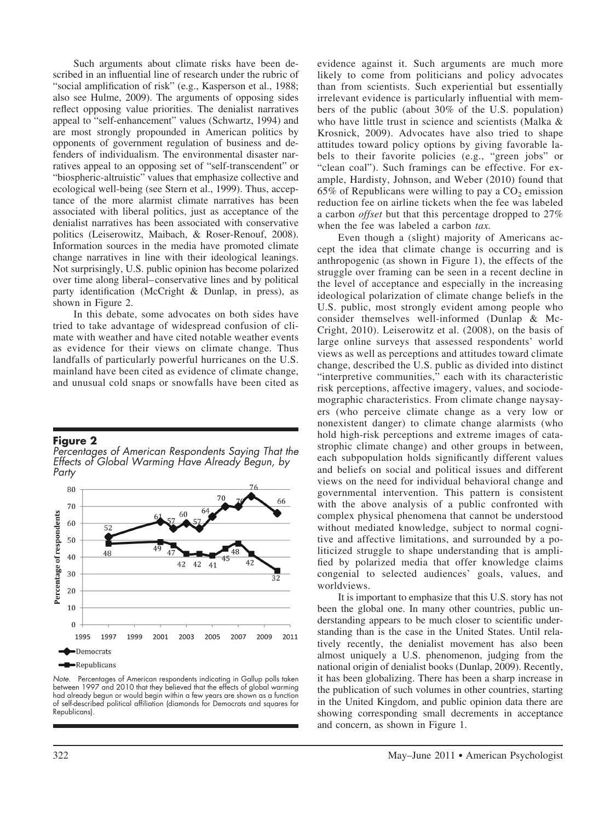Such arguments about climate risks have been described in an influential line of research under the rubric of "social amplification of risk" (e.g., Kasperson et al., 1988; also see Hulme, 2009). The arguments of opposing sides reflect opposing value priorities. The denialist narratives appeal to "self-enhancement" values (Schwartz, 1994) and are most strongly propounded in American politics by opponents of government regulation of business and defenders of individualism. The environmental disaster narratives appeal to an opposing set of "self-transcendent" or "biospheric-altruistic" values that emphasize collective and ecological well-being (see Stern et al., 1999). Thus, acceptance of the more alarmist climate narratives has been associated with liberal politics, just as acceptance of the denialist narratives has been associated with conservative politics (Leiserowitz, Maibach, & Roser-Renouf, 2008). Information sources in the media have promoted climate change narratives in line with their ideological leanings. Not surprisingly, U.S. public opinion has become polarized over time along liberal–conservative lines and by political party identification (McCright & Dunlap, in press), as shown in Figure 2.

In this debate, some advocates on both sides have tried to take advantage of widespread confusion of climate with weather and have cited notable weather events as evidence for their views on climate change. Thus landfalls of particularly powerful hurricanes on the U.S. mainland have been cited as evidence of climate change, and unusual cold snaps or snowfalls have been cited as

#### **Figure 2**

*Percentages of American Respondents Saying That the Effects of Global Warming Have Already Begun, by Party*



*Note.* Percentages of American respondents indicating in Gallup polls taken between 1997 and 2010 that they believed that the effects of global warming had already begun or would begin within a few years are shown as a function of self-described political affiliation (diamonds for Democrats and squares for Republicans).

evidence against it. Such arguments are much more likely to come from politicians and policy advocates than from scientists. Such experiential but essentially irrelevant evidence is particularly influential with members of the public (about 30% of the U.S. population) who have little trust in science and scientists (Malka & Krosnick, 2009). Advocates have also tried to shape attitudes toward policy options by giving favorable labels to their favorite policies (e.g., "green jobs" or "clean coal"). Such framings can be effective. For example, Hardisty, Johnson, and Weber (2010) found that 65% of Republicans were willing to pay a  $CO<sub>2</sub>$  emission reduction fee on airline tickets when the fee was labeled a carbon *offset* but that this percentage dropped to 27% when the fee was labeled a carbon *tax.*

Even though a (slight) majority of Americans accept the idea that climate change is occurring and is anthropogenic (as shown in Figure 1), the effects of the struggle over framing can be seen in a recent decline in the level of acceptance and especially in the increasing ideological polarization of climate change beliefs in the U.S. public, most strongly evident among people who consider themselves well-informed (Dunlap & Mc-Cright, 2010). Leiserowitz et al. (2008), on the basis of large online surveys that assessed respondents' world views as well as perceptions and attitudes toward climate change, described the U.S. public as divided into distinct "interpretive communities," each with its characteristic risk perceptions, affective imagery, values, and sociodemographic characteristics. From climate change naysayers (who perceive climate change as a very low or nonexistent danger) to climate change alarmists (who hold high-risk perceptions and extreme images of catastrophic climate change) and other groups in between, each subpopulation holds significantly different values and beliefs on social and political issues and different views on the need for individual behavioral change and governmental intervention. This pattern is consistent with the above analysis of a public confronted with complex physical phenomena that cannot be understood without mediated knowledge, subject to normal cognitive and affective limitations, and surrounded by a politicized struggle to shape understanding that is amplified by polarized media that offer knowledge claims congenial to selected audiences' goals, values, and worldviews.

It is important to emphasize that this U.S. story has not been the global one. In many other countries, public understanding appears to be much closer to scientific understanding than is the case in the United States. Until relatively recently, the denialist movement has also been almost uniquely a U.S. phenomenon, judging from the national origin of denialist books (Dunlap, 2009). Recently, it has been globalizing. There has been a sharp increase in the publication of such volumes in other countries, starting in the United Kingdom, and public opinion data there are showing corresponding small decrements in acceptance and concern, as shown in Figure 1.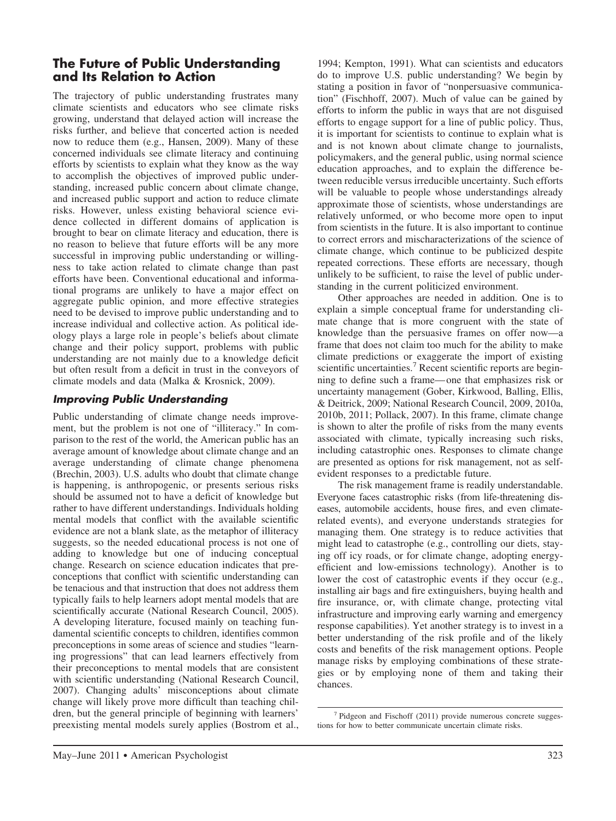## **The Future of Public Understanding and Its Relation to Action**

The trajectory of public understanding frustrates many climate scientists and educators who see climate risks growing, understand that delayed action will increase the risks further, and believe that concerted action is needed now to reduce them (e.g., Hansen, 2009). Many of these concerned individuals see climate literacy and continuing efforts by scientists to explain what they know as the way to accomplish the objectives of improved public understanding, increased public concern about climate change, and increased public support and action to reduce climate risks. However, unless existing behavioral science evidence collected in different domains of application is brought to bear on climate literacy and education, there is no reason to believe that future efforts will be any more successful in improving public understanding or willingness to take action related to climate change than past efforts have been. Conventional educational and informational programs are unlikely to have a major effect on aggregate public opinion, and more effective strategies need to be devised to improve public understanding and to increase individual and collective action. As political ideology plays a large role in people's beliefs about climate change and their policy support, problems with public understanding are not mainly due to a knowledge deficit but often result from a deficit in trust in the conveyors of climate models and data (Malka & Krosnick, 2009).

### *Improving Public Understanding*

Public understanding of climate change needs improvement, but the problem is not one of "illiteracy." In comparison to the rest of the world, the American public has an average amount of knowledge about climate change and an average understanding of climate change phenomena (Brechin, 2003). U.S. adults who doubt that climate change is happening, is anthropogenic, or presents serious risks should be assumed not to have a deficit of knowledge but rather to have different understandings. Individuals holding mental models that conflict with the available scientific evidence are not a blank slate, as the metaphor of illiteracy suggests, so the needed educational process is not one of adding to knowledge but one of inducing conceptual change. Research on science education indicates that preconceptions that conflict with scientific understanding can be tenacious and that instruction that does not address them typically fails to help learners adopt mental models that are scientifically accurate (National Research Council, 2005). A developing literature, focused mainly on teaching fundamental scientific concepts to children, identifies common preconceptions in some areas of science and studies "learning progressions" that can lead learners effectively from their preconceptions to mental models that are consistent with scientific understanding (National Research Council, 2007). Changing adults' misconceptions about climate change will likely prove more difficult than teaching children, but the general principle of beginning with learners' preexisting mental models surely applies (Bostrom et al.,

1994; Kempton, 1991). What can scientists and educators do to improve U.S. public understanding? We begin by stating a position in favor of "nonpersuasive communication" (Fischhoff, 2007). Much of value can be gained by efforts to inform the public in ways that are not disguised efforts to engage support for a line of public policy. Thus, it is important for scientists to continue to explain what is and is not known about climate change to journalists, policymakers, and the general public, using normal science education approaches, and to explain the difference between reducible versus irreducible uncertainty. Such efforts will be valuable to people whose understandings already approximate those of scientists, whose understandings are relatively unformed, or who become more open to input from scientists in the future. It is also important to continue to correct errors and mischaracterizations of the science of climate change, which continue to be publicized despite repeated corrections. These efforts are necessary, though unlikely to be sufficient, to raise the level of public understanding in the current politicized environment.

Other approaches are needed in addition. One is to explain a simple conceptual frame for understanding climate change that is more congruent with the state of knowledge than the persuasive frames on offer now—a frame that does not claim too much for the ability to make climate predictions or exaggerate the import of existing scientific uncertainties.<sup>7</sup> Recent scientific reports are beginning to define such a frame—one that emphasizes risk or uncertainty management (Gober, Kirkwood, Balling, Ellis, & Deitrick, 2009; National Research Council, 2009, 2010a, 2010b, 2011; Pollack, 2007). In this frame, climate change is shown to alter the profile of risks from the many events associated with climate, typically increasing such risks, including catastrophic ones. Responses to climate change are presented as options for risk management, not as selfevident responses to a predictable future.

The risk management frame is readily understandable. Everyone faces catastrophic risks (from life-threatening diseases, automobile accidents, house fires, and even climaterelated events), and everyone understands strategies for managing them. One strategy is to reduce activities that might lead to catastrophe (e.g., controlling our diets, staying off icy roads, or for climate change, adopting energyefficient and low-emissions technology). Another is to lower the cost of catastrophic events if they occur (e.g., installing air bags and fire extinguishers, buying health and fire insurance, or, with climate change, protecting vital infrastructure and improving early warning and emergency response capabilities). Yet another strategy is to invest in a better understanding of the risk profile and of the likely costs and benefits of the risk management options. People manage risks by employing combinations of these strategies or by employing none of them and taking their chances.

<sup>7</sup> Pidgeon and Fischoff (2011) provide numerous concrete suggestions for how to better communicate uncertain climate risks.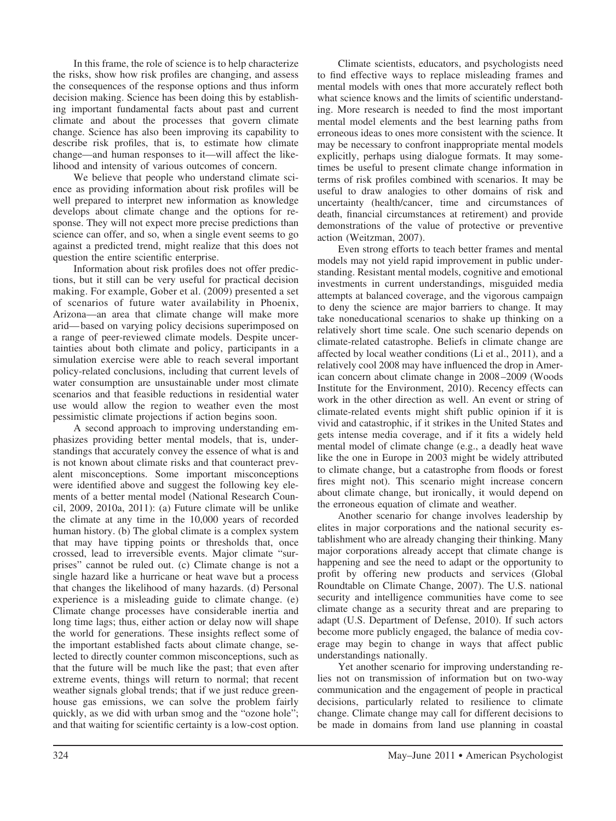In this frame, the role of science is to help characterize the risks, show how risk profiles are changing, and assess the consequences of the response options and thus inform decision making. Science has been doing this by establishing important fundamental facts about past and current climate and about the processes that govern climate change. Science has also been improving its capability to describe risk profiles, that is, to estimate how climate change—and human responses to it—will affect the likelihood and intensity of various outcomes of concern.

We believe that people who understand climate science as providing information about risk profiles will be well prepared to interpret new information as knowledge develops about climate change and the options for response. They will not expect more precise predictions than science can offer, and so, when a single event seems to go against a predicted trend, might realize that this does not question the entire scientific enterprise.

Information about risk profiles does not offer predictions, but it still can be very useful for practical decision making. For example, Gober et al. (2009) presented a set of scenarios of future water availability in Phoenix, Arizona—an area that climate change will make more arid—based on varying policy decisions superimposed on a range of peer-reviewed climate models. Despite uncertainties about both climate and policy, participants in a simulation exercise were able to reach several important policy-related conclusions, including that current levels of water consumption are unsustainable under most climate scenarios and that feasible reductions in residential water use would allow the region to weather even the most pessimistic climate projections if action begins soon.

A second approach to improving understanding emphasizes providing better mental models, that is, understandings that accurately convey the essence of what is and is not known about climate risks and that counteract prevalent misconceptions. Some important misconceptions were identified above and suggest the following key elements of a better mental model (National Research Council, 2009, 2010a, 2011): (a) Future climate will be unlike the climate at any time in the 10,000 years of recorded human history. (b) The global climate is a complex system that may have tipping points or thresholds that, once crossed, lead to irreversible events. Major climate "surprises" cannot be ruled out. (c) Climate change is not a single hazard like a hurricane or heat wave but a process that changes the likelihood of many hazards. (d) Personal experience is a misleading guide to climate change. (e) Climate change processes have considerable inertia and long time lags; thus, either action or delay now will shape the world for generations. These insights reflect some of the important established facts about climate change, selected to directly counter common misconceptions, such as that the future will be much like the past; that even after extreme events, things will return to normal; that recent weather signals global trends; that if we just reduce greenhouse gas emissions, we can solve the problem fairly quickly, as we did with urban smog and the "ozone hole"; and that waiting for scientific certainty is a low-cost option.

Climate scientists, educators, and psychologists need to find effective ways to replace misleading frames and mental models with ones that more accurately reflect both what science knows and the limits of scientific understanding. More research is needed to find the most important mental model elements and the best learning paths from erroneous ideas to ones more consistent with the science. It may be necessary to confront inappropriate mental models explicitly, perhaps using dialogue formats. It may sometimes be useful to present climate change information in terms of risk profiles combined with scenarios. It may be useful to draw analogies to other domains of risk and uncertainty (health/cancer, time and circumstances of death, financial circumstances at retirement) and provide demonstrations of the value of protective or preventive action (Weitzman, 2007).

Even strong efforts to teach better frames and mental models may not yield rapid improvement in public understanding. Resistant mental models, cognitive and emotional investments in current understandings, misguided media attempts at balanced coverage, and the vigorous campaign to deny the science are major barriers to change. It may take noneducational scenarios to shake up thinking on a relatively short time scale. One such scenario depends on climate-related catastrophe. Beliefs in climate change are affected by local weather conditions (Li et al., 2011), and a relatively cool 2008 may have influenced the drop in American concern about climate change in 2008–2009 (Woods Institute for the Environment, 2010). Recency effects can work in the other direction as well. An event or string of climate-related events might shift public opinion if it is vivid and catastrophic, if it strikes in the United States and gets intense media coverage, and if it fits a widely held mental model of climate change (e.g., a deadly heat wave like the one in Europe in 2003 might be widely attributed to climate change, but a catastrophe from floods or forest fires might not). This scenario might increase concern about climate change, but ironically, it would depend on the erroneous equation of climate and weather.

Another scenario for change involves leadership by elites in major corporations and the national security establishment who are already changing their thinking. Many major corporations already accept that climate change is happening and see the need to adapt or the opportunity to profit by offering new products and services (Global Roundtable on Climate Change, 2007). The U.S. national security and intelligence communities have come to see climate change as a security threat and are preparing to adapt (U.S. Department of Defense, 2010). If such actors become more publicly engaged, the balance of media coverage may begin to change in ways that affect public understandings nationally.

Yet another scenario for improving understanding relies not on transmission of information but on two-way communication and the engagement of people in practical decisions, particularly related to resilience to climate change. Climate change may call for different decisions to be made in domains from land use planning in coastal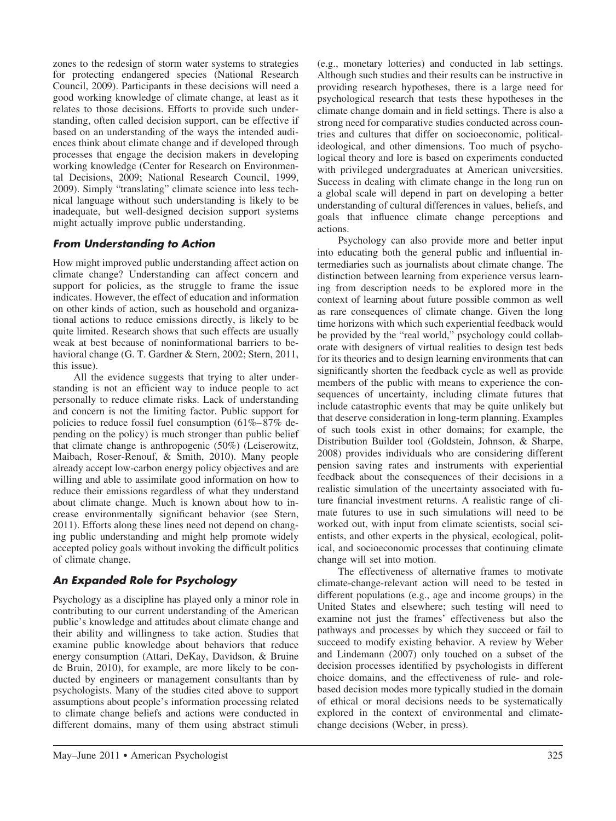zones to the redesign of storm water systems to strategies for protecting endangered species (National Research Council, 2009). Participants in these decisions will need a good working knowledge of climate change, at least as it relates to those decisions. Efforts to provide such understanding, often called decision support, can be effective if based on an understanding of the ways the intended audiences think about climate change and if developed through processes that engage the decision makers in developing working knowledge (Center for Research on Environmental Decisions, 2009; National Research Council, 1999, 2009). Simply "translating" climate science into less technical language without such understanding is likely to be inadequate, but well-designed decision support systems might actually improve public understanding.

#### *From Understanding to Action*

How might improved public understanding affect action on climate change? Understanding can affect concern and support for policies, as the struggle to frame the issue indicates. However, the effect of education and information on other kinds of action, such as household and organizational actions to reduce emissions directly, is likely to be quite limited. Research shows that such effects are usually weak at best because of noninformational barriers to behavioral change (G. T. Gardner & Stern, 2002; Stern, 2011, this issue).

All the evidence suggests that trying to alter understanding is not an efficient way to induce people to act personally to reduce climate risks. Lack of understanding and concern is not the limiting factor. Public support for policies to reduce fossil fuel consumption (61%–87% depending on the policy) is much stronger than public belief that climate change is anthropogenic (50%) (Leiserowitz, Maibach, Roser-Renouf, & Smith, 2010). Many people already accept low-carbon energy policy objectives and are willing and able to assimilate good information on how to reduce their emissions regardless of what they understand about climate change. Much is known about how to increase environmentally significant behavior (see Stern, 2011). Efforts along these lines need not depend on changing public understanding and might help promote widely accepted policy goals without invoking the difficult politics of climate change.

## *An Expanded Role for Psychology*

Psychology as a discipline has played only a minor role in contributing to our current understanding of the American public's knowledge and attitudes about climate change and their ability and willingness to take action. Studies that examine public knowledge about behaviors that reduce energy consumption (Attari, DeKay, Davidson, & Bruine de Bruin, 2010), for example, are more likely to be conducted by engineers or management consultants than by psychologists. Many of the studies cited above to support assumptions about people's information processing related to climate change beliefs and actions were conducted in different domains, many of them using abstract stimuli (e.g., monetary lotteries) and conducted in lab settings. Although such studies and their results can be instructive in providing research hypotheses, there is a large need for psychological research that tests these hypotheses in the climate change domain and in field settings. There is also a strong need for comparative studies conducted across countries and cultures that differ on socioeconomic, politicalideological, and other dimensions. Too much of psychological theory and lore is based on experiments conducted with privileged undergraduates at American universities. Success in dealing with climate change in the long run on a global scale will depend in part on developing a better understanding of cultural differences in values, beliefs, and goals that influence climate change perceptions and actions.

Psychology can also provide more and better input into educating both the general public and influential intermediaries such as journalists about climate change. The distinction between learning from experience versus learning from description needs to be explored more in the context of learning about future possible common as well as rare consequences of climate change. Given the long time horizons with which such experiential feedback would be provided by the "real world," psychology could collaborate with designers of virtual realities to design test beds for its theories and to design learning environments that can significantly shorten the feedback cycle as well as provide members of the public with means to experience the consequences of uncertainty, including climate futures that include catastrophic events that may be quite unlikely but that deserve consideration in long-term planning. Examples of such tools exist in other domains; for example, the Distribution Builder tool (Goldstein, Johnson, & Sharpe, 2008) provides individuals who are considering different pension saving rates and instruments with experiential feedback about the consequences of their decisions in a realistic simulation of the uncertainty associated with future financial investment returns. A realistic range of climate futures to use in such simulations will need to be worked out, with input from climate scientists, social scientists, and other experts in the physical, ecological, political, and socioeconomic processes that continuing climate change will set into motion.

The effectiveness of alternative frames to motivate climate-change-relevant action will need to be tested in different populations (e.g., age and income groups) in the United States and elsewhere; such testing will need to examine not just the frames' effectiveness but also the pathways and processes by which they succeed or fail to succeed to modify existing behavior. A review by Weber and Lindemann (2007) only touched on a subset of the decision processes identified by psychologists in different choice domains, and the effectiveness of rule- and rolebased decision modes more typically studied in the domain of ethical or moral decisions needs to be systematically explored in the context of environmental and climatechange decisions (Weber, in press).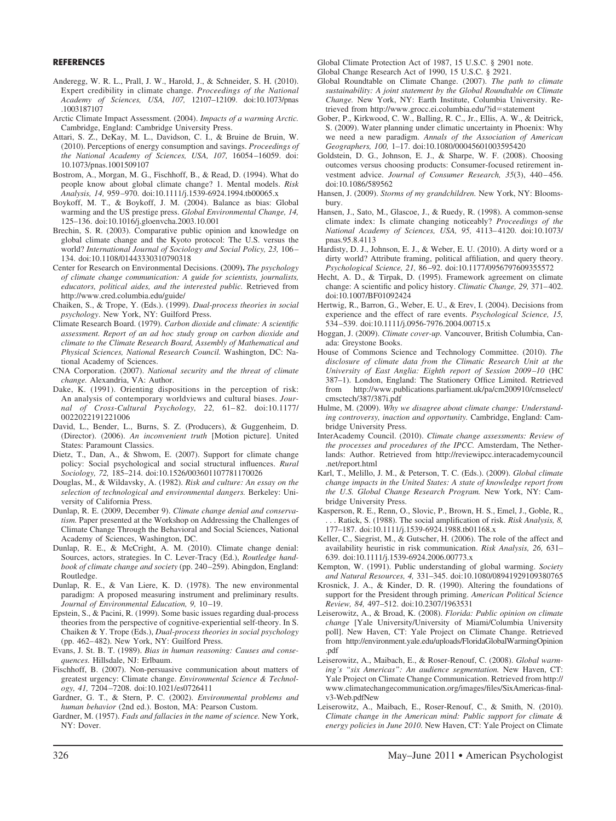#### **REFERENCES**

- Anderegg, W. R. L., Prall, J. W., Harold, J., & Schneider, S. H. (2010). Expert credibility in climate change. *Proceedings of the National Academy of Sciences, USA, 107,* 12107–12109. doi:10.1073/pnas .1003187107
- Arctic Climate Impact Assessment. (2004). *Impacts of a warming Arctic.* Cambridge, England: Cambridge University Press.
- Attari, S. Z., DeKay, M. L., Davidson, C. I., & Bruine de Bruin, W. (2010). Perceptions of energy consumption and savings. *Proceedings of the National Academy of Sciences, USA, 107,* 16054–16059. doi: 10.1073/pnas.1001509107
- Bostrom, A., Morgan, M. G., Fischhoff, B., & Read, D. (1994). What do people know about global climate change? 1. Mental models. *Risk Analysis, 14,* 959–970. doi:10.1111/j.1539-6924.1994.tb00065.x
- Boykoff, M. T., & Boykoff, J. M. (2004). Balance as bias: Global warming and the US prestige press. *Global Environmental Change, 14,* 125–136. doi:10.1016/j.gloenvcha.2003.10.001
- Brechin, S. R. (2003). Comparative public opinion and knowledge on global climate change and the Kyoto protocol: The U.S. versus the world? *International Journal of Sociology and Social Policy, 23,* 106– 134. doi:10.1108/01443330310790318
- Center for Research on Environmental Decisions. **(**2009**).** *The psychology of climate change communication: A guide for scientists, journalists, educators, political aides, and the interested public.* Retrieved from http://www.cred.columbia.edu/guide/
- Chaiken, S., & Trope, Y. (Eds.). (1999). *Dual-process theories in social psychology*. New York, NY: Guilford Press.
- Climate Research Board. (1979). *Carbon dioxide and climate: A scientific assessment. Report of an ad hoc study group on carbon dioxide and climate to the Climate Research Board, Assembly of Mathematical and Physical Sciences, National Research Council.* Washington, DC: National Academy of Sciences.
- CNA Corporation. (2007). *National security and the threat of climate change.* Alexandria, VA: Author.
- Dake, K. (1991). Orienting dispositions in the perception of risk: An analysis of contemporary worldviews and cultural biases. *Journal of Cross-Cultural Psychology, 22,* 61–82. doi:10.1177/ 0022022191221006
- David, L., Bender, L., Burns, S. Z. (Producers), & Guggenheim, D. (Director). (2006). *An inconvenient truth* [Motion picture]. United States: Paramount Classics.
- Dietz, T., Dan, A., & Shwom, E. (2007). Support for climate change policy: Social psychological and social structural influences. *Rural Sociology, 72,* 185–214. doi:10.1526/003601107781170026
- Douglas, M., & Wildavsky, A. (1982). *Risk and culture: An essay on the selection of technological and environmental dangers.* Berkeley: University of California Press.
- Dunlap, R. E. (2009, December 9). *Climate change denial and conservatism.* Paper presented at the Workshop on Addressing the Challenges of Climate Change Through the Behavioral and Social Sciences, National Academy of Sciences, Washington, DC.
- Dunlap, R. E., & McCright, A. M. (2010). Climate change denial: Sources, actors, strategies. In C. Lever-Tracy (Ed.), *Routledge handbook of climate change and society* (pp. 240–259). Abingdon, England: Routledge.
- Dunlap, R. E., & Van Liere, K. D. (1978). The new environmental paradigm: A proposed measuring instrument and preliminary results. *Journal of Environmental Education, 9,* 10–19.
- Epstein, S., & Pacini, R. (1999). Some basic issues regarding dual-process theories from the perspective of cognitive-experiential self-theory. In S. Chaiken & Y. Trope (Eds.), *Dual-process theories in social psychology* (pp. 462–482). New York, NY: Guilford Press.
- Evans, J. St. B. T. (1989). *Bias in human reasoning: Causes and consequences.* Hillsdale, NJ: Erlbaum.
- Fischhoff, B. (2007). Non-persuasive communication about matters of greatest urgency: Climate change. *Environmental Science & Technology, 41,* 7204–7208. doi:10.1021/es0726411
- Gardner, G. T., & Stern, P. C. (2002). *Environmental problems and human behavior* (2nd ed.). Boston, MA: Pearson Custom.
- Gardner, M. (1957). *Fads and fallacies in the name of science.* New York, NY: Dover.

Global Climate Protection Act of 1987, 15 U.S.C. § 2901 note.

- Global Change Research Act of 1990, 15 U.S.C. § 2921.
- Global Roundtable on Climate Change. (2007). *The path to climate sustainability: A joint statement by the Global Roundtable on Climate Change.* New York, NY: Earth Institute, Columbia University. Retrieved from http://www.grocc.ei.columbia.edu/?id=statement
- Gober, P., Kirkwood, C. W., Balling, R. C., Jr., Ellis, A. W., & Deitrick, S. (2009). Water planning under climatic uncertainty in Phoenix: Why we need a new paradigm. *Annals of the Association of American Geographers, 100,* 1–17. doi:10.1080/00045601003595420
- Goldstein, D. G., Johnson, E. J., & Sharpe, W. F. (2008). Choosing outcomes versus choosing products: Consumer-focused retirement investment advice. *Journal of Consumer Research, 35*(3), 440–456. doi:10.1086/589562
- Hansen, J. (2009). *Storms of my grandchildren.* New York, NY: Bloomsbury.
- Hansen, J., Sato, M., Glascoe, J., & Ruedy, R. (1998). A common-sense climate index: Is climate changing noticeably? *Proceedings of the National Academy of Sciences, USA, 95,* 4113–4120. doi:10.1073/ pnas.95.8.4113
- Hardisty, D. J., Johnson, E. J., & Weber, E. U. (2010). A dirty word or a dirty world? Attribute framing, political affiliation, and query theory. *Psychological Science, 21,* 86–92. doi:10.1177/0956797609355572
- Hecht, A. D., & Tirpak, D. (1995). Framework agreement on climate change: A scientific and policy history. *Climatic Change, 29,* 371–402. doi:10.1007/BF01092424
- Hertwig, R., Barron, G., Weber, E. U., & Erev, I. (2004). Decisions from experience and the effect of rare events. *Psychological Science, 15,* 534–539. doi:10.1111/j.0956-7976.2004.00715.x
- Hoggan, J. (2009). *Climate cover-up.* Vancouver, British Columbia, Canada: Greystone Books.
- House of Commons Science and Technology Committee. (2010). *The disclosure of climate data from the Climatic Research Unit at the University of East Anglia: Eighth report of Session 2009 –10* (HC 387–1). London, England: The Stationery Office Limited. Retrieved from http://www.publications.parliament.uk/pa/cm200910/cmselect/ cmsctech/387/387i.pdf
- Hulme, M. (2009). *Why we disagree about climate change: Understanding controversy, inaction and opportunity.* Cambridge, England: Cambridge University Press.
- InterAcademy Council. (2010). *Climate change assessments: Review of the processes and procedures of the IPCC.* Amsterdam, The Netherlands: Author. Retrieved from http://reviewipcc.interacademycouncil .net/report.html
- Karl, T., Melillo, J. M., & Peterson, T. C. (Eds.). (2009). *Global climate change impacts in the United States: A state of knowledge report from the U.S. Global Change Research Program.* New York, NY: Cambridge University Press.
- Kasperson, R. E., Renn, O., Slovic, P., Brown, H. S., Emel, J., Goble, R., . . . Ratick, S. (1988). The social amplification of risk. *Risk Analysis, 8,* 177–187. doi:10.1111/j.1539-6924.1988.tb01168.x
- Keller, C., Siegrist, M., & Gutscher, H. (2006). The role of the affect and availability heuristic in risk communication. *Risk Analysis, 26,* 631– 639. doi:10.1111/j.1539-6924.2006.00773.x
- Kempton, W. (1991). Public understanding of global warming. *Society and Natural Resources, 4,* 331–345. doi:10.1080/08941929109380765
- Krosnick, J. A., & Kinder, D. R. (1990). Altering the foundations of support for the President through priming. *American Political Science Review, 84,* 497–512. doi:10.2307/1963531
- Leiserowitz, A., & Broad, K. (2008). *Florida: Public opinion on climate change* [Yale University/University of Miami/Columbia University poll]. New Haven, CT: Yale Project on Climate Change. Retrieved from http://environment.yale.edu/uploads/FloridaGlobalWarmingOpinion .pdf
- Leiserowitz, A., Maibach, E., & Roser-Renouf, C. (2008). *Global warming's "six Americas": An audience segmentation.* New Haven, CT: Yale Project on Climate Change Communication. Retrieved from http:// www.climatechangecommunication.org/images/files/SixAmericas-finalv3-Web.pdfNew
- Leiserowitz, A., Maibach, E., Roser-Renouf, C., & Smith, N. (2010). *Climate change in the American mind: Public support for climate & energy policies in June 2010.* New Haven, CT: Yale Project on Climate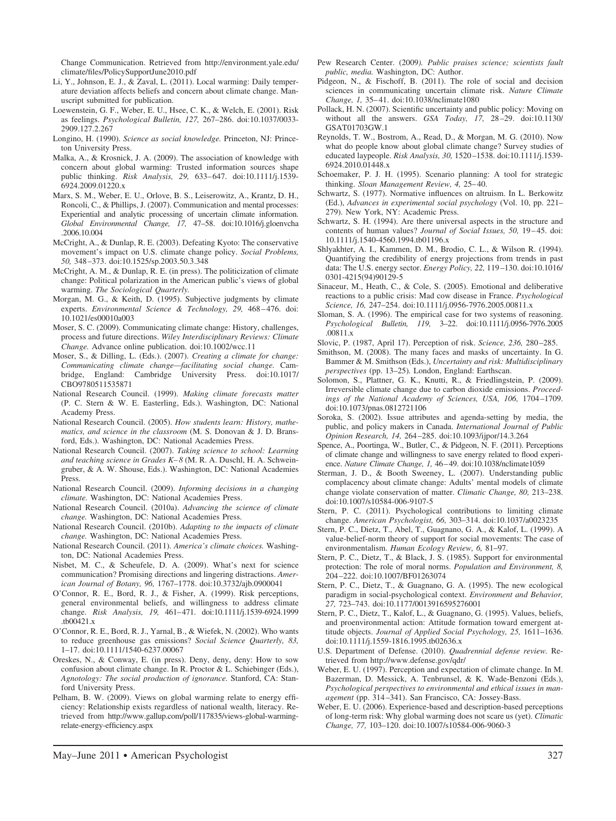Change Communication. Retrieved from http://environment.yale.edu/ climate/files/PolicySupportJune2010.pdf

- Li, Y., Johnson, E. J., & Zaval, L. (2011). Local warming: Daily temperature deviation affects beliefs and concern about climate change. Manuscript submitted for publication.
- Loewenstein, G. F., Weber, E. U., Hsee, C. K., & Welch, E. (2001). Risk as feelings. *Psychological Bulletin, 127,* 267–286. doi:10.1037/0033- 2909.127.2.267
- Longino, H. (1990). *Science as social knowledge.* Princeton, NJ: Princeton University Press.
- Malka, A., & Krosnick, J. A. (2009). The association of knowledge with concern about global warming: Trusted information sources shape public thinking. *Risk Analysis, 29,* 633–647. doi:10.1111/j.1539- 6924.2009.01220.x
- Marx, S. M., Weber, E. U., Orlove, B. S., Leiserowitz, A., Krantz, D. H., Roncoli, C., & Phillips, J. (2007). Communication and mental processes: Experiential and analytic processing of uncertain climate information. *Global Environmental Change, 17,* 47–58. doi:10.1016/j.gloenvcha .2006.10.004
- McCright, A., & Dunlap, R. E. (2003). Defeating Kyoto: The conservative movement's impact on U.S. climate change policy. *Social Problems, 50,* 348–373. doi:10.1525/sp.2003.50.3.348
- McCright, A. M., & Dunlap, R. E. (in press). The politicization of climate change: Political polarization in the American public's views of global warming. *The Sociological Quarterly.*
- Morgan, M. G., & Keith, D. (1995). Subjective judgments by climate experts. *Environmental Science & Technology, 29,* 468–476. doi: 10.1021/es00010a003
- Moser, S. C. (2009). Communicating climate change: History, challenges, process and future directions. *Wiley Interdisciplinary Reviews: Climate Change.* Advance online publication. doi:10.1002/wcc.11
- Moser, S., & Dilling, L. (Eds.). (2007). *Creating a climate for change: Communicating climate change—facilitating social change.* Cambridge, England: Cambridge University Press. doi:10.1017/ CBO9780511535871
- National Research Council. (1999). *Making climate forecasts matter* (P. C. Stern & W. E. Easterling, Eds.). Washington, DC: National Academy Press.
- National Research Council. (2005). *How students learn: History, mathematics, and science in the classroom* (M. S. Donovan & J. D. Bransford, Eds.). Washington, DC: National Academies Press.
- National Research Council. (2007). *Taking science to school: Learning and teaching science in Grades K– 8* (M. R. A. Duschl, H. A. Schweingruber, & A. W. Shouse, Eds.). Washington, DC: National Academies Press.
- National Research Council. (2009). *Informing decisions in a changing climate.* Washington, DC: National Academies Press.
- National Research Council. (2010a). *Advancing the science of climate change.* Washington, DC: National Academies Press.
- National Research Council. (2010b). *Adapting to the impacts of climate change.* Washington, DC: National Academies Press.
- National Research Council. (2011). *America's climate choices.* Washington, DC: National Academies Press.
- Nisbet, M. C., & Scheufele, D. A. (2009). What's next for science communication? Promising directions and lingering distractions. *American Journal of Botany, 96,* 1767–1778. doi:10.3732/ajb.0900041
- O'Connor, R. E., Bord, R. J., & Fisher, A. (1999). Risk perceptions, general environmental beliefs, and willingness to address climate change. *Risk Analysis, 19,* 461–471. doi:10.1111/j.1539-6924.1999 .tb00421.x
- O'Connor, R. E., Bord, R. J., Yarnal, B., & Wiefek, N. (2002). Who wants to reduce greenhouse gas emissions? *Social Science Quarterly, 83,* 1–17. doi:10.1111/1540-6237.00067
- Oreskes, N., & Conway, E. (in press). Deny, deny, deny: How to sow confusion about climate change. In R. Proctor & L. Schiebinger (Eds.), *Agnotology: The social production of ignorance.* Stanford, CA: Stanford University Press.
- Pelham, B. W. (2009). Views on global warming relate to energy efficiency: Relationship exists regardless of national wealth, literacy. Retrieved from http://www.gallup.com/poll/117835/views-global-warmingrelate-energy-efficiency.aspx
- Pew Research Center. (2009*). Public praises science; scientists fault public, media.* Washington, DC: Author.
- Pidgeon, N., & Fischoff, B. (2011). The role of social and decision sciences in communicating uncertain climate risk. *Nature Climate Change, 1,* 35–41. doi:10.1038/nclimate1080
- Pollack, H. N. (2007). Scientific uncertainty and public policy: Moving on without all the answers. *GSA Today, 17,* 28–29. doi:10.1130/ GSAT01703GW.1
- Reynolds, T. W., Bostrom, A., Read, D., & Morgan, M. G. (2010). Now what do people know about global climate change? Survey studies of educated laypeople. *Risk Analysis, 30,* 1520–1538. doi:10.1111/j.1539- 6924.2010.01448.x
- Schoemaker, P. J. H. (1995). Scenario planning: A tool for strategic thinking. *Sloan Management Review, 4,* 25–40.
- Schwartz, S. (1977). Normative influences on altruism. In L. Berkowitz (Ed.), *Advances in experimental social psychology* (Vol. 10, pp. 221– 279). New York, NY: Academic Press.
- Schwartz, S. H. (1994). Are there universal aspects in the structure and contents of human values? *Journal of Social Issues, 50,* 19–45. doi: 10.1111/j.1540-4560.1994.tb01196.x
- Shlyakhter, A. I., Kammen, D. M., Brodio, C. L., & Wilson R. (1994). Quantifying the credibility of energy projections from trends in past data: The U.S. energy sector. *Energy Policy, 22,* 119–130. doi:10.1016/ 0301-4215(94)90129-5
- Sinaceur, M., Heath, C., & Cole, S. (2005). Emotional and deliberative reactions to a public crisis: Mad cow disease in France. *Psychological Science, 16,* 247–254. doi:10.1111/j.0956-7976.2005.00811.x
- Sloman, S. A. (1996). The empirical case for two systems of reasoning. *Psychological Bulletin, 119,* 3–22. doi:10.1111/j.0956-7976.2005 .00811.x
- Slovic, P. (1987, April 17). Perception of risk. *Science, 236,* 280–285.
- Smithson, M. (2008). The many faces and masks of uncertainty. In G. Bammer & M. Smithson (Eds.), *Uncertainty and risk: Multidisciplinary perspectives* (pp. 13–25)*.* London, England: Earthscan.
- Solomon, S., Plattner, G. K., Knutti, R., & Friedlingstein, P. (2009). Irreversible climate change due to carbon dioxide emissions. *Proceedings of the National Academy of Sciences, USA, 106,* 1704–1709. doi:10.1073/pnas.0812721106
- Soroka, S. (2002). Issue attributes and agenda-setting by media, the public, and policy makers in Canada. *International Journal of Public Opinion Research, 14,* 264–285. doi:10.1093/ijpor/14.3.264
- Spence, A., Poortinga, W., Butler, C., & Pidgeon, N. F. (2011). Perceptions of climate change and willingness to save energy related to flood experience. *Nature Climate Change, 1,* 46–49. doi:10.1038/nclimate1059
- Sterman, J. D., & Booth Sweeney, L. (2007). Understanding public complacency about climate change: Adults' mental models of climate change violate conservation of matter. *Climatic Change, 80,* 213–238. doi:10.1007/s10584-006-9107-5
- Stern, P. C. (2011). Psychological contributions to limiting climate change. *American Psychologist, 66,* 303–314. doi:10.1037/a0023235
- Stern, P. C., Dietz, T., Abel, T., Guagnano, G. A., & Kalof, L. (1999). A value-belief-norm theory of support for social movements: The case of environmentalism. *Human Ecology Review, 6,* 81–97.
- Stern, P. C., Dietz, T., & Black, J. S. (1985). Support for environmental protection: The role of moral norms. *Population and Environment, 8,* 204–222. doi:10.1007/BF01263074
- Stern, P. C., Dietz, T., & Guagnano, G. A. (1995). The new ecological paradigm in social-psychological context. *Environment and Behavior, 27,* 723–743. doi:10.1177/0013916595276001
- Stern, P. C., Dietz, T., Kalof, L., & Guagnano, G. (1995). Values, beliefs, and proenvironmental action: Attitude formation toward emergent attitude objects. *Journal of Applied Social Psychology, 25,* 1611–1636. doi:10.1111/j.1559-1816.1995.tb02636.x
- U.S. Department of Defense. (2010). *Quadrennial defense review.* Retrieved from http://www.defense.gov/qdr/
- Weber, E. U. (1997). Perception and expectation of climate change. In M. Bazerman, D. Messick, A. Tenbrunsel, & K. Wade-Benzoni (Eds.), *Psychological perspectives to environmental and ethical issues in management* (pp. 314–341). San Francisco, CA: Jossey-Bass.
- Weber, E. U. (2006). Experience-based and description-based perceptions of long-term risk: Why global warming does not scare us (yet). *Climatic Change, 77,* 103–120. doi:10.1007/s10584-006-9060-3

May–June 2011 • American Psychologist 327